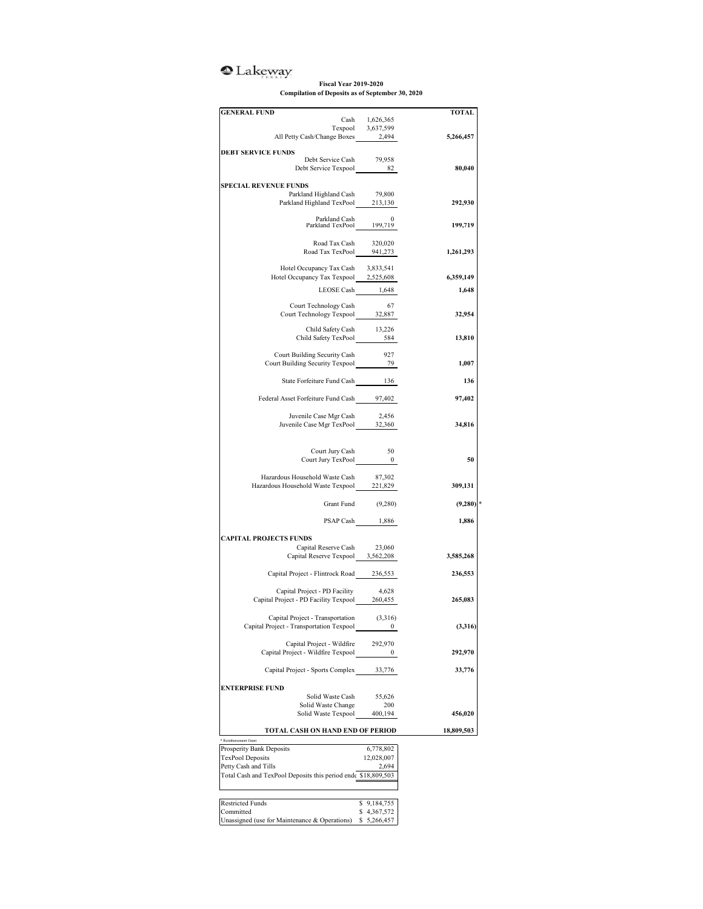## <sup>o</sup>Lakeway

## **Fiscal Year 2019-2020 Compilation of Deposits as of September 30, 2020**

| <b>GENERAL FUND</b>                                                            |                                     | <b>TOTAL</b> |
|--------------------------------------------------------------------------------|-------------------------------------|--------------|
|                                                                                | Cash 1,626,365<br>Texpool 3,637,599 |              |
| All Petty Cash/Change Boxes 2,494                                              |                                     | 5,266,457    |
| <b>DEBT SERVICE FUNDS</b>                                                      |                                     |              |
| Debt Service Cash                                                              | 79,958                              |              |
| Debt Service Texpool 82                                                        |                                     | 80,040       |
| <b>SPECIAL REVENUE FUNDS</b>                                                   |                                     |              |
| Parkland Highland Cash                                                         | 79,800                              |              |
| Parkland Highland TexPool 213,130                                              |                                     | 292,930      |
| Parkland Cash 0<br>Parkland TexPool 199,719                                    |                                     |              |
|                                                                                |                                     | 199,719      |
| Road Tax Cash                                                                  | 320,020                             |              |
| Road Tax TexPool $941,273$                                                     |                                     | 1,261,293    |
| Hotel Occupancy Tax Cash 3,833,541                                             |                                     |              |
| Hotel Occupancy Tax Texpool 2,525,608                                          |                                     | 6,359,149    |
| LEOSE Cash 1,648                                                               |                                     | 1,648        |
|                                                                                |                                     |              |
| Court Technology Cash<br>Court Technology Texpool 32,887                       | 67                                  | 32,954       |
|                                                                                |                                     |              |
| Child Safety Cash 13,226<br>Child Safety TexPool 584                           | 584                                 | 13,810       |
|                                                                                |                                     |              |
| Court Building Security Cash<br>Court Building Security Texpool 29             | 927                                 | 1,007        |
|                                                                                |                                     |              |
| State Forfeiture Fund Cash 136                                                 |                                     | 136          |
| Federal Asset Forfeiture Fund Cash 97,402                                      |                                     | 97,402       |
|                                                                                |                                     |              |
| Juvenile Case Mgr Cash                                                         | 2,456                               |              |
| Juvenile Case Mgr TexPool $32,360$                                             |                                     | 34,816       |
|                                                                                |                                     |              |
| Court Jury Cash<br>Court Jury TexPool 0                                        | 50                                  |              |
|                                                                                |                                     | 50           |
| Hazardous Household Waste Cash                                                 | 87,302                              |              |
| Hazardous Household Waste Texpool 221,829                                      |                                     | 309,131      |
| Grant Fund                                                                     | (9,280)                             | (9,280)      |
|                                                                                |                                     |              |
|                                                                                | PSAP Cash 1,886                     | 1,886        |
| <b>CAPITAL PROJECTS FUNDS</b>                                                  |                                     |              |
| Capital Reserve Cash                                                           | 23,060                              |              |
| Capital Reserve Texpool 3,562,208                                              |                                     | 3,585,268    |
| Capital Project - Flintrock Road 236,553                                       |                                     | 236,553      |
|                                                                                |                                     |              |
| Capital Project - PD Facility<br>Capital Project - PD Facility Texpool 260,455 | 4,628                               | 265,083      |
|                                                                                |                                     |              |
| Capital Project - Transportation (3,316)                                       |                                     |              |
| Capital Project - Transportation Texpool                                       | 0                                   | (3,316)      |
| Capital Project - Wildfire                                                     | 292,970                             |              |
| Capital Project - Wildfire Texpool                                             | $\bf{0}$                            | 292,970      |
|                                                                                |                                     |              |
| Capital Project - Sports Complex                                               | 33,776                              | 33,776       |
| <b>ENTERPRISE FUND</b>                                                         |                                     |              |
| Solid Waste Cash                                                               | 55,626<br>200                       |              |
| Solid Waste Change<br>Solid Waste Texpool                                      | 400,194                             | 456,020      |
|                                                                                |                                     |              |
| TOTAL CASH ON HAND END OF PERIOD<br>* Reimbursement Grant                      |                                     | 18,809,503   |
| Prosperity Bank Deposits                                                       | 6,778,802                           |              |
| TexPool Deposits                                                               | 12,028,007                          |              |
| Petty Cash and Tills                                                           | 2,694                               |              |
| Total Cash and TexPool Deposits this period ends \$18,809,503                  |                                     |              |
|                                                                                |                                     |              |
| <b>Restricted Funds</b>                                                        | \$9,184,755                         |              |
| Committed<br>Unassigned (use for Maintenance & Operations)                     | \$4,367,572<br>\$ 5,266,457         |              |
|                                                                                |                                     |              |